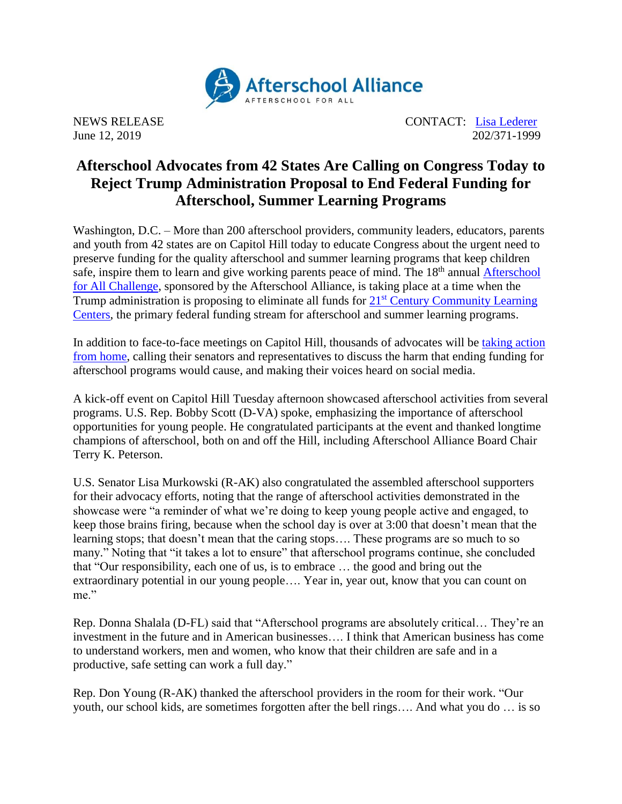

June 12, 2019

NEWS RELEASE CONTACT: <u>[Lisa Lederer](mailto:lisa@prsolutionsdc.com)</u><br>
Iune 12, 2019 202/371-1999

## **Afterschool Advocates from 42 States Are Calling on Congress Today to Reject Trump Administration Proposal to End Federal Funding for Afterschool, Summer Learning Programs**

Washington, D.C. – More than 200 afterschool providers, community leaders, educators, parents and youth from 42 states are on Capitol Hill today to educate Congress about the urgent need to preserve funding for the quality afterschool and summer learning programs that keep children safe, inspire them to learn and give working parents peace of mind. The 18<sup>th</sup> annual **Afterschool** [for All Challenge,](http://www.afterschoolalliance.org/challenge.cfm) sponsored by the Afterschool Alliance, is taking place at a time when the Trump administration is proposing to eliminate all funds for  $21<sup>st</sup>$  Century Community Learning [Centers,](http://www.afterschoolalliance.org/policy21stcclc.cfm) the primary federal funding stream for afterschool and summer learning programs.

In addition to face-to-face meetings on Capitol Hill, thousands of advocates will be [taking action](http://www.afterschoolalliance.org/challenge.cfm)  [from home,](http://www.afterschoolalliance.org/challenge.cfm) calling their senators and representatives to discuss the harm that ending funding for afterschool programs would cause, and making their voices heard on social media.

A kick-off event on Capitol Hill Tuesday afternoon showcased afterschool activities from several programs. U.S. Rep. Bobby Scott (D-VA) spoke, emphasizing the importance of afterschool opportunities for young people. He congratulated participants at the event and thanked longtime champions of afterschool, both on and off the Hill, including Afterschool Alliance Board Chair Terry K. Peterson.

U.S. Senator Lisa Murkowski (R-AK) also congratulated the assembled afterschool supporters for their advocacy efforts, noting that the range of afterschool activities demonstrated in the showcase were "a reminder of what we're doing to keep young people active and engaged, to keep those brains firing, because when the school day is over at 3:00 that doesn't mean that the learning stops; that doesn't mean that the caring stops…. These programs are so much to so many." Noting that "it takes a lot to ensure" that afterschool programs continue, she concluded that "Our responsibility, each one of us, is to embrace … the good and bring out the extraordinary potential in our young people…. Year in, year out, know that you can count on me."

Rep. Donna Shalala (D-FL) said that "Afterschool programs are absolutely critical… They're an investment in the future and in American businesses…. I think that American business has come to understand workers, men and women, who know that their children are safe and in a productive, safe setting can work a full day."

Rep. Don Young (R-AK) thanked the afterschool providers in the room for their work. "Our youth, our school kids, are sometimes forgotten after the bell rings…. And what you do … is so